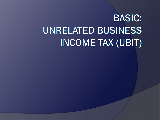# **BASIC: UNRELATED BUSINESS INCOME TAX (UBIT)**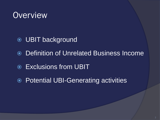

- **O** UBIT background
- Definition of Unrelated Business Income
- Exclusions from UBIT
- Potential UBI-Generating activities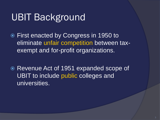## UBIT Background

 First enacted by Congress in 1950 to eliminate unfair competition between taxexempt and for-profit organizations.

 Revenue Act of 1951 expanded scope of UBIT to include public colleges and universities.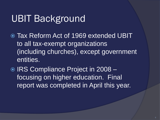## UBIT Background

- Tax Reform Act of 1969 extended UBIT to all tax-exempt organizations (including churches), except government entities.
- **◎ IRS Compliance Project in 2008** focusing on higher education. Final report was completed in April this year.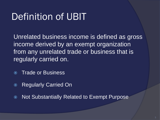## Definition of UBIT

Unrelated business income is defined as gross income derived by an exempt organization from any unrelated trade or business that is regularly carried on.

- Trade or Business
- Regularly Carried On
- Not Substantially Related to Exempt Purpose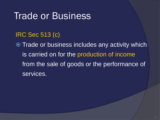## Trade or Business

#### IRC Sec 513 (c)

**Trade or business includes any activity which** is carried on for the production of income from the sale of goods or the performance of services.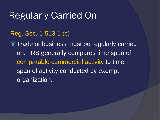## Regularly Carried On

#### Reg. Sec. 1-513-1 (c)

**Trade or business must be regularly carried** on. IRS generally compares time span of comparable commercial activity to time span of activity conducted by exempt organization.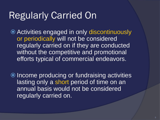## Regularly Carried On

 Activities engaged in only discontinuously or periodically will not be considered regularly carried on if they are conducted without the competitive and promotional efforts typical of commercial endeavors.

**■** Income producing or fundraising activities lasting only a short period of time on an annual basis would not be considered regularly carried on.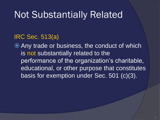## Not Substantially Related

#### IRC Sec. 513(a)

 Any trade or business, the conduct of which is not substantially related to the performance of the organization's charitable, educational, or other purpose that constitutes basis for exemption under Sec. 501 (c)(3).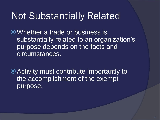## Not Substantially Related

Whether a trade or business is substantially related to an organization's purpose depends on the facts and circumstances.

Activity must contribute importantly to the accomplishment of the exempt purpose.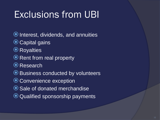## Exclusions from UBI

- **O** Interest, dividends, and annuities
- O Capital gains
- **◎** Royalties
- **Example 2 Rent from real property**
- O Research
- Business conducted by volunteers
- O Convenience exception
- O Sale of donated merchandise
- Qualified sponsorship payments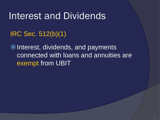## Interest and Dividends

IRC Sec. 512(b)(1)

 $\odot$  Interest, dividends, and payments connected with loans and annuities are exempt from UBIT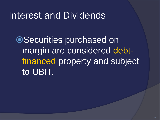## Interest and Dividends

●Securities purchased on margin are considered debtfinanced property and subject to UBIT.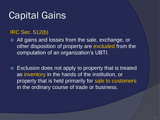## Capital Gains

#### IRC Sec. 512(b)

- All gains and losses from the sale, exchange, or other disposition of property are excluded from the computation of an organization's UBTI.
- Exclusion does not apply to property that is treated as inventory in the hands of the institution, or property that is held primarily for sale to customers in the ordinary course of trade or business.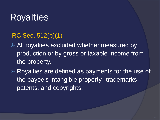## **Royalties**

#### IRC Sec. 512(b)(1)

- **All royalties excluded whether measured by** production or by gross or taxable income from the property.
- Royalties are defined as payments for the use of the payee's intangible property--trademarks, patents, and copyrights.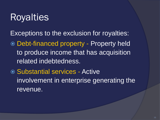## Royalties

Exceptions to the exclusion for royalties:

- Debt-financed property Property held to produce income that has acquisition related indebtedness.
- Substantial services Active involvement in enterprise generating the revenue.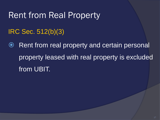### Rent from Real Property

### IRC Sec. 512(b)(3)

**■** Rent from real property and certain personal property leased with real property is excluded from UBIT.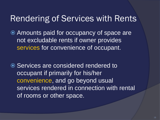### Rendering of Services with Rents

 Amounts paid for occupancy of space are not excludable rents if owner provides services for convenience of occupant.

**■** Services are considered rendered to occupant if primarily for his/her convenience, and go beyond usual services rendered in connection with rental of rooms or other space.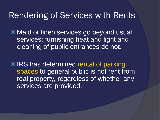### Rendering of Services with Rents

 Maid or linen services go beyond usual services; furnishing heat and light and cleaning of public entrances do not.

**■ IRS has determined rental of parking** spaces to general public is not rent from real property, regardless of whether any services are provided.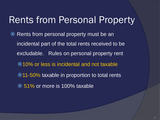## Rents from Personal Property

**• Rents from personal property must be an** incidental part of the total rents received to be excludable. Rules on personal property rent 10% or less is incidental and not taxable ● 11-50% taxable in proportion to total rents **☉ 51% or more is 100% taxable**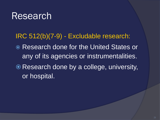## Research

IRC 512(b)(7-9) - Excludable research:

- Research done for the United States or any of its agencies or instrumentalities.
- Research done by a college, university, or hospital.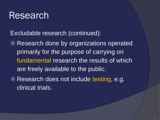## Research

Excludable research (continued):

- Research done by organizations operated primarily for the purpose of carrying on fundamental research the results of which are freely available to the public.
- **Research does not include testing, e.g.** clinical trials.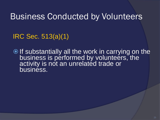Business Conducted by Volunteers

IRC Sec. 513(a)(1)

O If substantially all the work in carrying on the business is performed by volunteers, the activity is not an unrelated trade or business.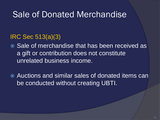### Sale of Donated Merchandise

#### IRC Sec 513(a)(3)

- **◎ Sale of merchandise that has been received as** a gift or contribution does not constitute unrelated business income.
- Auctions and similar sales of donated items can be conducted without creating UBTI.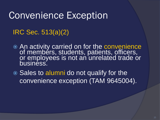## Convenience Exception

### IRC Sec. 513(a)(2)

- An activity carried on for the convenience of members, students, patients, officers, or employees is not an unrelated trade or business.
- Sales to alumni do not qualify for the convenience exception (TAM 9645004).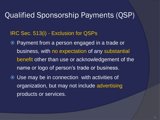### Qualified Sponsorship Payments (QSP)

#### IRC Sec. 513(i) - Exclusion for QSPs

- Payment from a person engaged in a trade or business, with no expectation of any substantial benefit other than use or acknowledgement of the name or logo of person's trade or business.
- Use may be in connection with activities of organization, but may not include advertising products or services.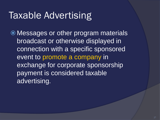## Taxable Advertising

 Messages or other program materials broadcast or otherwise displayed in connection with a specific sponsored event to promote a company in exchange for corporate sponsorship payment is considered taxable advertising.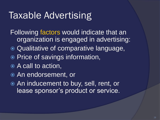## Taxable Advertising

- Following factors would indicate that an organization is engaged in advertising:
- **Qualitative of comparative language,**
- **■** Price of savings information,
- A call to action,
- An endorsement, or
- An inducement to buy, sell, rent, or lease sponsor's product or service.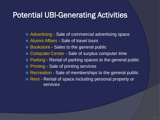### Potential UBI-Generating Activities

- Advertising Sale of commercial advertising space
- Alumni Affairs Sale of travel tours
- Bookstore Sales to the general public
- Computer Center Sale of surplus computer time
- Parking Rental of parking spaces to the general public
- **Printing Sale of printing services**
- **Recreation Sale of memberships to the general public**
- Rent Rental of space including personal property or services